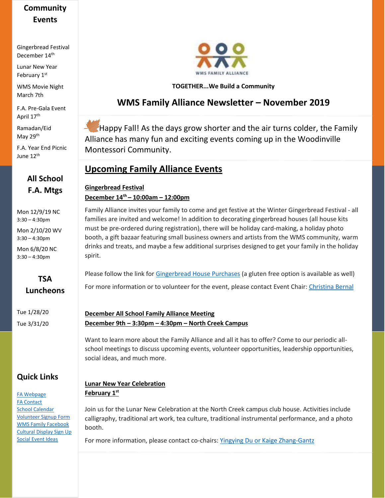# **Community Events**

Gingerbread Festival December 14th

Lunar New Year February 1st

WMS Movie Night March 7th

F.A. Pre-Gala Event April 17th

Ramadan/Eid May 29<sup>th</sup>

F.A. Year End Picnic June 12<sup>th</sup>

# **All School F.A. Mtgs**

Mon 12/9/19 NC 3:30 – 4:30pm

Mon 2/10/20 WV 3:30 – 4:30pm

Mon 6/8/20 NC 3:30 – 4:30pm

### **TSA Luncheons**

Tue 1/28/20 Tue 3/31/20

## **Quick Links**

[FA Webpage](https://www.woodinvillemontessori.org/wms-families/fa-committees/) [FA Contact](mailto:fa@woodinvillemontessori.org?subject=FAC%20Contact) [School Calendar](https://www.woodinvillemontessori.org/calendar/) [Volunteer Signup Form](https://forms.gle/FaUat2abBxh9difw7) [WMS Family Facebook](https://www.facebook.com/groups/130215807626550/) [Cultural Display Sign Up](https://www.signupgenius.com/go/4090545aca72daaff2-wmscultural) [Social Event Ideas](mailto:fa@woodinvillemontessori.org;%20cheryltsalapatanis@yahoo.com?subject=Social%20Ideas)



### **TOGETHER...We Build a Community**

# **WMS Family Alliance Newsletter – November 2019**

Happy Fall! As the days grow shorter and the air turns colder, the Family Alliance has many fun and exciting events coming up in the Woodinville Montessori Community.

# **Upcoming Family Alliance Events**

#### **Gingerbread Festival December 14th – 10:00am – 12:00pm**

Family Alliance invites your family to come and get festive at the Winter Gingerbread Festival - all families are invited and welcome! In addition to decorating gingerbread houses (all house kits must be pre-ordered during registration), there will be holiday card-making, a holiday photo booth, a gift bazaar featuring small business owners and artists from the WMS community, warm drinks and treats, and maybe a few additional surprises designed to get your family in the holiday spirit.

Please follow the link for [Gingerbread](http://wms.schoolauction.net/gingerbread2019/) House Purchases (a gluten free option is available as well) For more information or to volunteer for the event, please contact Event Chair[: Christina Bernal](mailto:fa@woodinvillemontessori.org,mchristinatd@gmail.com?subject=WMS%20Gingerbread%20Festival)

#### **December All School Family Alliance Meeting December 9th – 3:30pm – 4:30pm – North Creek Campus**

Want to learn more about the Family Alliance and all it has to offer? Come to our periodic allschool meetings to discuss upcoming events, volunteer opportunities, leadership opportunities, social ideas, and much more.

### **Lunar New Year Celebration February 1st**

Join us for the Lunar New Celebration at the North Creek campus club house. Activities include calligraphy, traditional art work, tea culture, traditional instrumental performance, and a photo booth.

For more information, please contact co-chairs: [Yingying Du or Kaige Zhang-Gantz](mailto:fa@woodinvillemontessori.org?subject=2020%20Lunar%20Festival)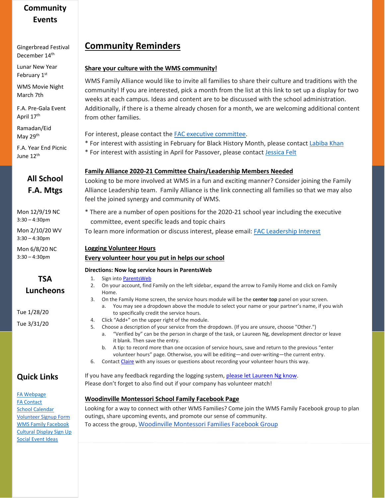# **Community Events**

Gingerbread Festival December 14th

Lunar New Year February 1st

WMS Movie Night March 7th

F.A. Pre-Gala Event April 17th

Ramadan/Eid May 29<sup>th</sup>

F.A. Year End Picnic June 12<sup>th</sup>

# **All School F.A. Mtgs**

Mon 12/9/19 NC 3:30 – 4:30pm

Mon 2/10/20 WV 3:30 – 4:30pm

Mon 6/8/20 NC 3:30 – 4:30pm

### **TSA Luncheons**

Tue 1/28/20 Tue 3/31/20

## **Quick Links**

[FA Webpage](https://www.woodinvillemontessori.org/wms-families/fa-committees/) [FA Contact](mailto:fa@woodinvillemontessori.org?subject=FAC%20Contact) [School Calendar](https://www.woodinvillemontessori.org/calendar/) [Volunteer Signup Form](https://forms.gle/FaUat2abBxh9difw7) [WMS Family Facebook](https://www.facebook.com/groups/130215807626550/) [Cultural Display Sign Up](https://www.signupgenius.com/go/4090545aca72daaff2-wmscultural) [Social Event Ideas](mailto:fa@woodinvillemontessori.org;%20cheryltsalapatanis@yahoo.com?subject=Social%20Ideas)

# **Community Reminders**

### **Share your culture with the WMS community!**

WMS Family Alliance would like to invite all families to share their culture and traditions with the community! If you are interested, [pick a month from the list at this link](http://clickthrough.mysecurelinks.net/wf/click?upn=61Px4T1d3wXWL6uqCZBuXjuIbtI0My4-2FAffs5wahsyZHungnQYR4nCyDc2-2FlI-2FlxUM6G8WrzEcwhU6GHBl520RympefOFNA5n9s5rpczZAk-3D_LodvkxbCWGhx04010xC-2Bw0gvcg62Lj3dnTHgquPCg9zTVMyFLTbmWuEZOQEb1Fn59JeBUq837l6OMZ9IutCDcEMVpSUdmw-2FNUTTRHGmsLslfluZYorRi6u9PVUa6xn9wXYxDrov2NkBRmsJC4dHoTWfa8Djdo5i-2FiTi2Q-2BYfEWrKgTcp1O0hQA7DFacj3SCzevz6Wk8PUy-2B9brcl7mO7ZexLjyTZnsHLewilIjf8z-2B9zqe0WTLGFXz4AYV4FfByM70HvyYopFTW4iIuO793ANWoPf4tMiFdNOrVBrwFInDRCGLRL1vcCVnVgrPFbgUuwWi12uNezO5p79PgVcgsC3CYeyPuN7ylqaI33oTsDI3GPEh0wOzyQWtsgxFtHOB-2Bbdr3A64-2BQIjm9r5XTu1e11GsLWcT1FDg-2BoQHq-2FH70DFk-3D) to set up a display for two weeks at each campus. Ideas and content are to be discussed with the school administration. Additionally, if there is a theme already chosen for a month, we are welcoming additional content from other families.

For interest, please contact the [FAC executive committee.](mailto:fa@woodinvillemontessori.org?subject=Cultural%20Display)

- \* For interest with assisting in February for Black History Month, please contact [Labiba Khan](mailto:lkhan@woodinvillemontessori.org;fa@woodinvillemontessori.org?subject=Cultural%20Display)
- \* For interest with assisting in April for Passover, please contact [Jessica Felt](mailto:jessicafelt@icloud.com;%20fa@woodinvilemontessori.org)

### **Family Alliance 2020-21 Committee Chairs/Leadership Members Needed**

Looking to be more involved at WMS in a fun and exciting manner? Consider joining the Family Alliance Leadership team. Family Alliance is the link connecting all families so that we may also feel the joined synergy and community of WMS.

\* There are a number of open positions for the 2020-21 school year including the executive committee, event specific leads and topic chairs

To learn more information or discuss interest, please email[: FAC Leadership Interest](mailto:FAC%20executive%20committee?subject=2020-2021%20FAC%20Leadership%20Info)

### **Logging Volunteer Hours**

### **Every volunteer hour you put in helps our school**

### **Directions: Now log service hours in ParentsWeb**

- 1. Sign into [ParentsWeb](https://nam05.safelinks.protection.outlook.com/?url=https%3A%2F%2Fwms-wa.client.renweb.com%2Fpwr%2F&data=02%7C01%7C%7C6384971794c044f5d8ba08d6eb879a55%7C84df9e7fe9f640afb435aaaaaaaaaaaa%7C1%7C0%7C636955364971516333&sdata=eqZJQlF7WCLzVf%2BbceIDW%2Fax0aiJceZBiKJ7oweQa3U%3D&reserved=0)
- 2. On your account, find Family on the left sidebar, expand the arrow to Family Home and click on Family Home.
- 3. On the Family Home screen, the service hours module will be the **center top** panel on your screen.
	- a. You may see a dropdown above the module to select your name or your partner's name, if you wish to specifically credit the service hours.
- 4. Click "Add+" on the upper right of the module.
- 5. Choose a description of your service from the dropdown. (If you are unsure, choose "Other.")
	- a. "Verified by" can be the person in charge of the task, or Laureen Ng, development director or leave it blank. Then save the entry.
	- b. A tip: to record more than one occasion of service hours, save and return to the previous "enter volunteer hours" page. Otherwise, you will be editing—and over-writing—the current entry.
- 6. Contact [Claire](mailto:ctuohymorgan@woodinvillemontessori.org) with any issues or questions about recording your volunteer hours this way.

If you have any feedback regarding the logging system, please let Laureen Ng know. Please don't forget to also find out if your company has volunteer match!

### **Woodinville Montessori School Family Facebook Page**

Looking for a way to connect with other WMS Families? Come join the WMS Family Facebook group to plan outings, share upcoming events, and promote our sense of community. To access the group, [Woodinville Montessori Families Facebook Group](https://www.facebook.com/groups/130215807626550/)